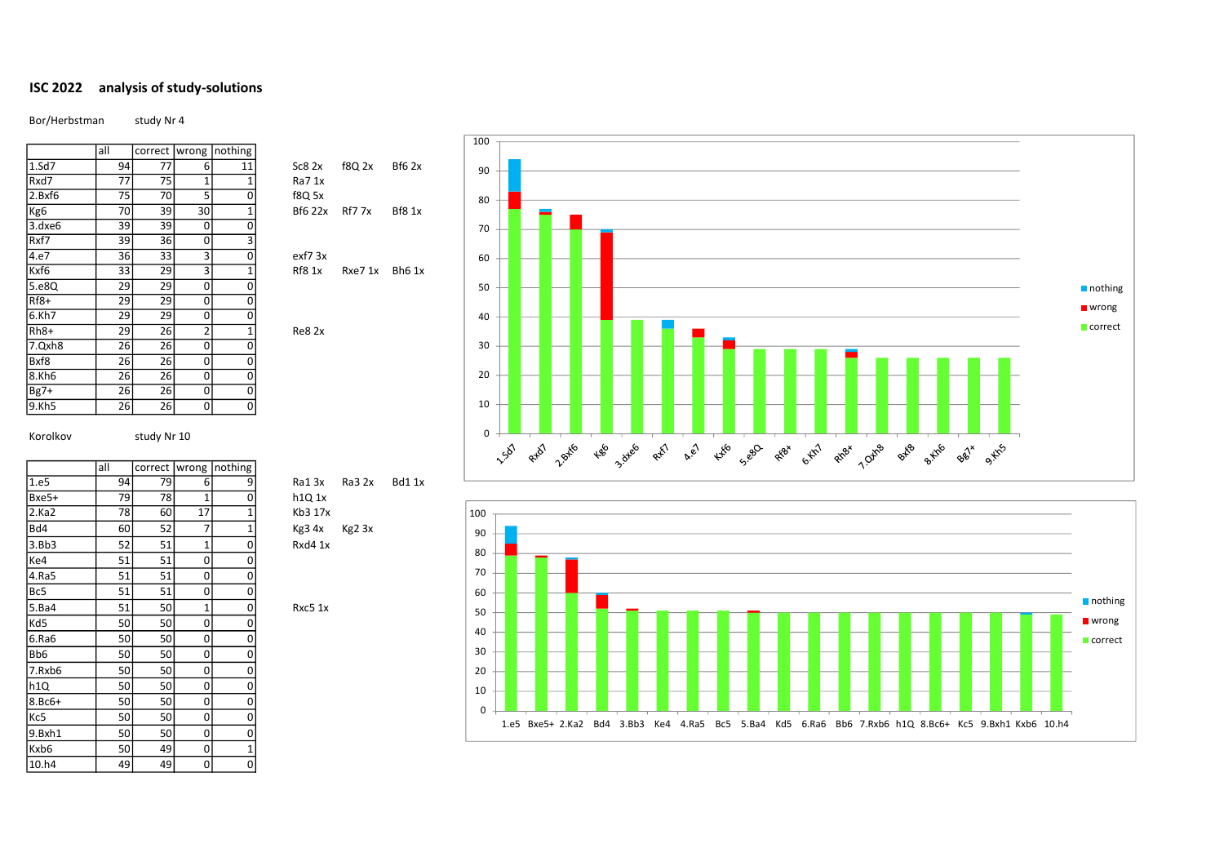## ISC 2022 analysis of study-solutions

Bor/Herbstman study Nr 4

|        | all | correct | wrong          | nothing |                |               |               |
|--------|-----|---------|----------------|---------|----------------|---------------|---------------|
| 1.5d7  | 94  | 77      | 6              | 11      | Sc82x          | f8Q 2x        | Bf62x         |
| Rxd7   | 77  | 75      | 1              | 1       | Ra7 1x         |               |               |
| 2.Bxf6 | 75  | 70      | 5              | 0       | f8Q 5x         |               |               |
| Kg6    | 70  | 39      | 30             | 1       | <b>Bf6 22x</b> | <b>Rf7 7x</b> | <b>Bf8 1x</b> |
| 3.dxe6 | 39  | 39      | 0              | 0       |                |               |               |
| Rxf7   | 39  | 36      | 0              | 3       |                |               |               |
| 4.e7   | 36  | 33      | 3              | 0       | $ext{7}$ 3x    |               |               |
| Kxf6   | 33  | 29      | 3              | 1       | <b>Rf8 1x</b>  | Rxe7 1x       | <b>Bh6 1x</b> |
| 5.e8Q  | 29  | 29      | 0              | 0       |                |               |               |
| $Rf8+$ | 29  | 29      | 0              | 0       |                |               |               |
| 6.Kh7  | 29  | 29      | 0              | 0       |                |               |               |
| $Rh8+$ | 29  | 26      | $\overline{2}$ | 1       | Re82x          |               |               |
| 7.Qxh8 | 26  | 26      | 0              | 0       |                |               |               |
| Bxf8   | 26  | 26      | 0              | 0       |                |               |               |
| 8.Kh6  | 26  | 26      | 0              | 0       |                |               |               |
| $Bg7+$ | 26  | 26      | 0              | 0       |                |               |               |
| 9.Kh5  | 26  | 26      | 0              | 0       |                |               |               |

all correct wrong nothing

Ke4 | 51 | 51 | 0 | 0 4.Ra5 51 51 0 0<br>Bc5 51 51 0 0 Bc5  $51$  51 0 0

Kd5 50 50 0 0 6.Ra6 50 50 0 0<br>Bb6 50 50 0 0 Bb6 50 50 0 0  $7. Rxb6$  50 50 0 0 h1Q | 50 50 0 0  $8.8c6+$  50 50 0 0 Kc5 50 50 0 0 9.Bxh1 50 50 0 0<br>Kxb6 50 49 0 1 Kxb6 50 49 0 1 10.h4 49 49 0 0

Korolkov study Nr 10

| $\frac{8}{1}$  | Sc82x         | <b>f8Q 2x</b> | Bſ |
|----------------|---------------|---------------|----|
| $\overline{1}$ | Ra7 1x        |               |    |
| $\mathbf{0}$   | f8Q 5x        |               |    |
| $\overline{1}$ | Bf6 22x       | <b>Rf7 7x</b> | Bf |
|                |               |               |    |
| $\frac{1}{3}$  |               |               |    |
|                | $ext{7}$ 3x   |               |    |
| $\frac{1}{0}$  | <b>Rf8 1x</b> | Rxe7 1x       | Bl |
|                |               |               |    |
|                |               |               |    |





1.e5 94 79 6 9 Ra1 3x Ra3 2x Bd1 1x  $Bxe5+$  79 78 1 0 h1Q 1x 2.Ka2 78 60 17 1 Kb3 17x  $3.8b3$   $52$   $51$   $1$  0 Rxd4 1x

5.Ba4 51 50 1 0 Rxc5 1x<br>
Kd5 50 50 0 0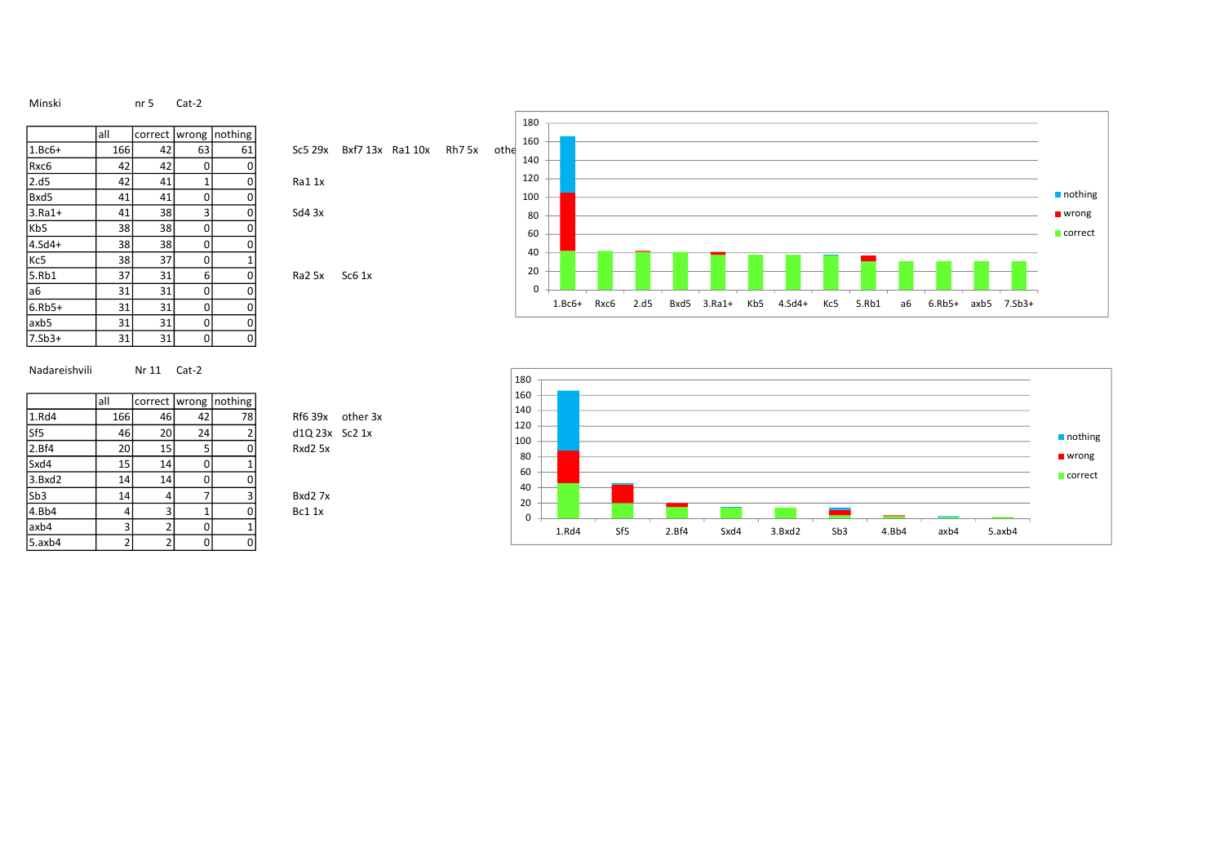Minski nr 5 Cat-2

|                 | all | correct | wrong        | nothing |            |                    |
|-----------------|-----|---------|--------------|---------|------------|--------------------|
| $1.Bc6+$        | 166 | 42      | 63           | 61      | Sc5 29x    | Bxf7 13            |
| Rxc6            | 42  | 42      | 0            | 0       |            |                    |
| 2.d5            | 42  | 41      | $\mathbf{1}$ | 0       | Ra11x      |                    |
| Bxd5            | 41  | 41      | 0            | 0       |            |                    |
| $3.Ra1+$        | 41  | 38      | 3            | 0       | $Sd4$ $3x$ |                    |
| Kb <sub>5</sub> | 38  | 38      | 0            | 0       |            |                    |
| $4.5d4+$        | 38  | 38      | 0            | 0       |            |                    |
| Kc5             | 38  | 37      | 0            | 1       |            |                    |
| 5.Rb1           | 37  | 31      | 6            | 0       | Ra2 5x     | S <sub>c6</sub> 1x |
| а6              | 31  | 31      | 0            | 0       |            |                    |
| $6.Rb5+$        | 31  | 31      | 0            | 0       |            |                    |
| axb5            | 31  | 31      | 0            | 0       |            |                    |
| $7.5b3+$        | 31  | 31      | 0            | 0       |            |                    |
|                 |     |         |              |         |            |                    |

|          |      |      |          |                       |            |                   |        |      | 180 |  |  |  |
|----------|------|------|----------|-----------------------|------------|-------------------|--------|------|-----|--|--|--|
|          | lall |      |          | correct wrong nothing |            |                   |        |      | 160 |  |  |  |
| $1.8c6+$ | 166  | 42   | 63       | 61                    | Sc529x     | Bxf7 13x Ra1 10x  | Rh7 5x | othe |     |  |  |  |
| Rxc6     | 42   | 42   | $\Omega$ |                       |            |                   |        |      | 140 |  |  |  |
| 2.d5     | 42   | 41   |          |                       | Ra11x      |                   |        |      | 120 |  |  |  |
| Bxd5     | 41   | 41   | 0        |                       |            |                   |        |      | 100 |  |  |  |
| $3.Ra1+$ | 41   | 38   | 3        |                       | $Sd4$ $3x$ |                   |        |      | 80  |  |  |  |
| Kb5      | 38   | 38   | 0        |                       |            |                   |        |      | 60  |  |  |  |
| 4.Sd4+   | 38   | 38 l | 0        |                       |            |                   |        |      |     |  |  |  |
| Kc5      | 38   | 37   | 0        |                       |            |                   |        |      | 40  |  |  |  |
| 5.Rb1    | 37   | 31   | $6 \mid$ | n                     | Ra2 5x     | SC6 <sub>1x</sub> |        |      | 20  |  |  |  |
| а6       | 31   | 31   | 0        | $\mathbf{0}$          |            |                   |        |      | 0   |  |  |  |



Nadareishvili Nr 11 Cat-2

|                 | all | correct        | wrong | Inothing |
|-----------------|-----|----------------|-------|----------|
| 1.Rd4           | 166 | 46             | 42    | 78       |
| Sf <sub>5</sub> | 46  | 20             | 24    | 2        |
| 2.Bf4           | 20  | 15             | 5     | 0        |
| Sxd4            | 15  | 14             | 0     | 1        |
| 3.Bxd2          | 14  | 14             | 0     | 0        |
| Sb <sub>3</sub> | 14  | 4              |       | 3        |
| 4.Bb4           | 4   | 3              |       | 0        |
| axb4            | 3   | $\overline{2}$ |       | 1        |
| $5.$ axb4       | 2   | $\overline{2}$ |       | ი        |

| 100<br>80<br>60<br>40                             |      |      |             |     |          |     |       |    |                    |  | $\blacksquare$ nothing<br>$\blacksquare$ wrong<br>correct |
|---------------------------------------------------|------|------|-------------|-----|----------|-----|-------|----|--------------------|--|-----------------------------------------------------------|
| 20<br>$\mathsf 0$                                 |      |      |             |     |          |     |       |    |                    |  |                                                           |
| $1.Bc6+$                                          | Rxc6 | 2.d5 | Bxd5 3.Ra1+ | Kb5 | $4.5d4+$ | Kc5 | 5.Rb1 | a6 | 6.Rb5+ axb5 7.Sb3+ |  |                                                           |
|                                                   |      |      |             |     |          |     |       |    |                    |  | nothing                                                   |
| 120<br>100<br>80<br>60<br>40<br>20<br>$\mathbf 0$ |      |      |             |     |          |     |       |    |                    |  | $\blacksquare$ wrong<br>$\blacksquare$ correct            |

Rf6 39x other 3x d1Q 23x Sc2 1x

Bxd2 7x Bc1 1x

Rxd2 5x